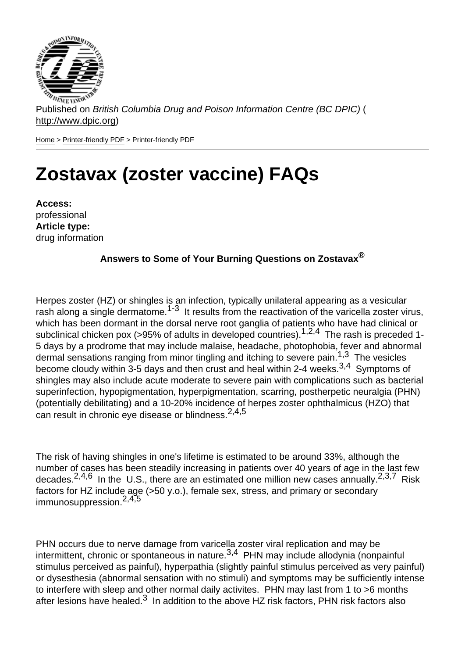Published on British Columbia Drug and Poison Information Centre (BC DPIC) ( http://www.dpic.org)

Home > Printer-friendly PDF > Printer-friendly PDF

# [Zo](http://www.dpic.org/)[stavax \(z](http://www.dpic.org/printpdf)oster vaccine) FAQs

Access: professional Article type: drug information

Answers to Some of Your Burning Questions on Zostavax  $\otimes$ 

Herpes zoster (HZ) or shingles is an infection, typically unilateral appearing as a vesicular rash along a single dermatome.<sup>1-3</sup> It results from the reactivation of the varicella zoster virus, which has been dormant in the dorsal nerve root ganglia of patients who have had clinical or subclinical chicken pox (>95% of adults in developed countries).<sup>1,2,4</sup> The rash is preceded 1-5 days by a prodrome that may include malaise, headache, photophobia, fever and abnormal dermal sensations ranging from minor tingling and itching to severe pain.<sup>1,3</sup> The vesicles become cloudy within 3-5 days and then crust and heal within 2-4 weeks.  $3,4$  Symptoms of shingles may also include acute moderate to severe pain with complications such as bacterial superinfection, hypopigmentation, hyperpigmentation, scarring, postherpetic neuralgia (PHN) (potentially debilitating) and a 10-20% incidence of herpes zoster ophthalmicus (HZO) that can result in chronic eye disease or blindness.<sup>2,4,5</sup>

The risk of having shingles in one's lifetime is estimated to be around 33%, although the number of cases has been steadily increasing in patients over 40 years of age in the last few decades.  $2,4,6$  In the U.S., there are an estimated one million new cases annually.  $2,3,7$  Risk factors for HZ include age (>50 y.o.), female sex, stress, and primary or secondary immunosuppression. $2,4,5$ 

PHN occurs due to nerve damage from varicella zoster viral replication and may be intermittent, chronic or spontaneous in nature.<sup>3,4</sup> PHN may include allodynia (nonpainful stimulus perceived as painful), hyperpathia (slightly painful stimulus perceived as very painful) or dysesthesia (abnormal sensation with no stimuli) and symptoms may be sufficiently intense to interfere with sleep and other normal daily activites. PHN may last from 1 to >6 months after lesions have healed.<sup>3</sup> In addition to the above HZ risk factors, PHN risk factors also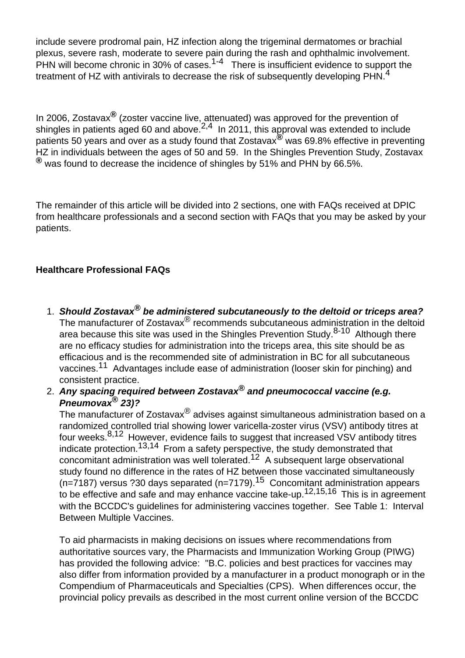include severe prodromal pain, HZ infection along the trigeminal dermatomes or brachial plexus, severe rash, moderate to severe pain during the rash and ophthalmic involvement. PHN will become chronic in 30% of cases.<sup>1-4</sup> There is insufficient evidence to support the treatment of HZ with antivirals to decrease the risk of subsequently developing PHN.<sup>4</sup>

In 2006, Zostavax**®** (zoster vaccine live, attenuated) was approved for the prevention of shingles in patients aged 60 and above.  $2,4$  In 2011, this approval was extended to include patients 50 years and over as a study found that Zostavax**®** was 69.8% effective in preventing HZ in individuals between the ages of 50 and 59. In the Shingles Prevention Study, Zostavax **®** was found to decrease the incidence of shingles by 51% and PHN by 66.5%.

The remainder of this article will be divided into 2 sections, one with FAQs received at DPIC from healthcare professionals and a second section with FAQs that you may be asked by your patients.

# **Healthcare Professional FAQs**

- 1. **Should Zostavax® be administered subcutaneously to the deltoid or triceps area?** The manufacturer of Zostavax<sup>®</sup> recommends subcutaneous administration in the deltoid area because this site was used in the Shingles Prevention Study.<sup>8-10</sup> Although there are no efficacy studies for administration into the triceps area, this site should be as efficacious and is the recommended site of administration in BC for all subcutaneous vaccines.<sup>11</sup> Advantages include ease of administration (looser skin for pinching) and consistent practice.
- 2. **Any spacing required between Zostavax® and pneumococcal vaccine (e.g. Pneumovax® 23)?**

The manufacturer of Zostavax<sup>®</sup> advises against simultaneous administration based on a randomized controlled trial showing lower varicella-zoster virus (VSV) antibody titres at four weeks.8,12 However, evidence fails to suggest that increased VSV antibody titres indicate protection.<sup>13,14</sup> From a safety perspective, the study demonstrated that concomitant administration was well tolerated.12 A subsequent large observational study found no difference in the rates of HZ between those vaccinated simultaneously (n=7187) versus ?30 days separated (n=7179).<sup>15</sup> Concomitant administration appears to be effective and safe and may enhance vaccine take-up.<sup>12,15,16</sup> This is in agreement with the BCCDC's guidelines for administering vaccines together. See Table 1: Interval Between Multiple Vaccines.

To aid pharmacists in making decisions on issues where recommendations from authoritative sources vary, the Pharmacists and Immunization Working Group (PIWG) has provided the following advice: "B.C. policies and best practices for vaccines may also differ from information provided by a manufacturer in a product monograph or in the Compendium of Pharmaceuticals and Specialties (CPS). When differences occur, the provincial policy prevails as described in the most current online version of the BCCDC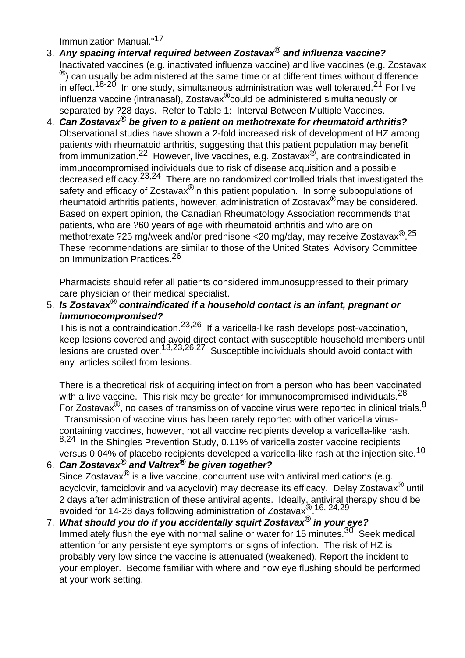Immunization Manual."<sup>17</sup>

- 3. **Any spacing interval required between Zostavax® and influenza vaccine?** Inactivated vaccines (e.g. inactivated influenza vaccine) and live vaccines (e.g. Zostavax  $\mathcal{R}$ ) can usually be administered at the same time or at different times without difference in effect.<sup>18-20</sup> In one study, simultaneous administration was well tolerated.<sup>21</sup> For live influenza vaccine (intranasal), Zostavax**®**could be administered simultaneously or separated by ?28 days. Refer to Table 1: Interval Between Multiple Vaccines.
- 4. **Can Zostavax® be given to a patient on methotrexate for rheumatoid arthritis?** Observational studies have shown a 2-fold increased risk of development of HZ among patients with rheumatoid arthritis, suggesting that this patient population may benefit from immunization.22 However, live vaccines, e.g. Zostavax®, are contraindicated in immunocompromised individuals due to risk of disease acquisition and a possible decreased efficacy.<sup>23,24</sup> There are no randomized controlled trials that investigated the safety and efficacy of Zostavax**®**in this patient population. In some subpopulations of rheumatoid arthritis patients, however, administration of Zostavax**®**may be considered. Based on expert opinion, the Canadian Rheumatology Association recommends that patients, who are ?60 years of age with rheumatoid arthritis and who are on methotrexate ?25 mg/week and/or prednisone <20 mg/day, may receive Zostavax**®**. 25 These recommendations are similar to those of the United States' Advisory Committee on Immunization Practices.<sup>26</sup>

Pharmacists should refer all patients considered immunosuppressed to their primary care physician or their medical specialist.

5. **Is Zostavax® contraindicated if a household contact is an infant, pregnant or immunocompromised?**

This is not a contraindication.23,26 If a varicella-like rash develops post-vaccination, keep lesions covered and avoid direct contact with susceptible household members until lesions are crusted over.<sup>13,23,26,27</sup> Susceptible individuals should avoid contact with any articles soiled from lesions.

There is a theoretical risk of acquiring infection from a person who has been vaccinated with a live vaccine. This risk may be greater for immunocompromised individuals. $^{28}$ For Zostavax<sup>®</sup>, no cases of transmission of vaccine virus were reported in clinical trials.<sup>8</sup> Transmission of vaccine virus has been rarely reported with other varicella viruscontaining vaccines, however, not all vaccine recipients develop a varicella-like rash. 8,24 In the Shingles Prevention Study, 0.11% of varicella zoster vaccine recipients versus 0.04% of placebo recipients developed a varicella-like rash at the injection site.<sup>10</sup>

- 6. **Can Zostavax® and Valtrex® be given together?** Since Zostavax $^{\circledR}$  is a live vaccine, concurrent use with antiviral medications (e.g. acyclovir, famciclovir and valacyclovir) may decrease its efficacy. Delay Zostavax<sup>®</sup> until 2 days after administration of these antiviral agents. Ideally, antiviral therapy should be avoided for 14-28 days following administration of Zostavax®. 16, 24,29
- 7. **What should you do if you accidentally squirt Zostavax® in your eye?** Immediately flush the eye with normal saline or water for 15 minutes. $30^{7}$  Seek medical attention for any persistent eye symptoms or signs of infection. The risk of HZ is probably very low since the vaccine is attenuated (weakened). Report the incident to your employer. Become familiar with where and how eye flushing should be performed at your work setting.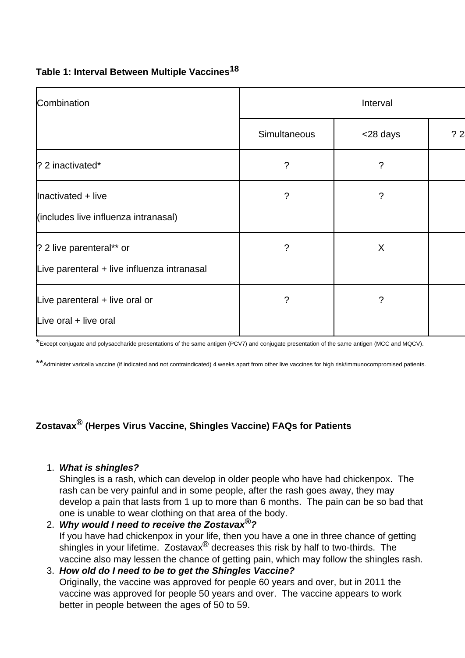## **Table 1: Interval Between Multiple Vaccines<sup>18</sup>**

| Combination                                                             | Interval     |          |    |
|-------------------------------------------------------------------------|--------------|----------|----|
|                                                                         | Simultaneous | <28 days | ?2 |
| $ $ ? 2 inactivated*                                                    | ?            | ?        |    |
| Inactivated + live<br>(includes live influenza intranasal)              | ?            | ?        |    |
| ? 2 live parenteral** or<br>Live parenteral + live influenza intranasal | ?            | X        |    |
| Live parenteral + live oral or<br>Live oral + live oral                 | ?            | ?        |    |

\*Except conjugate and polysaccharide presentations of the same antigen (PCV7) and conjugate presentation of the same antigen (MCC and MQCV).

\*\*Administer varicella vaccine (if indicated and not contraindicated) 4 weeks apart from other live vaccines for high risk/immunocompromised patients.

# **Zostavax® (Herpes Virus Vaccine, Shingles Vaccine) FAQs for Patients**

1. **What is shingles?**

Shingles is a rash, which can develop in older people who have had chickenpox. The rash can be very painful and in some people, after the rash goes away, they may develop a pain that lasts from 1 up to more than 6 months. The pain can be so bad that one is unable to wear clothing on that area of the body.

2. **Why would I need to receive the Zostavax®?** If you have had chickenpox in your life, then you have a one in three chance of getting shingles in your lifetime. Zostavax<sup>®</sup> decreases this risk by half to two-thirds. The vaccine also may lessen the chance of getting pain, which may follow the shingles rash.

## 3. **How old do I need to be to get the Shingles Vaccine?** Originally, the vaccine was approved for people 60 years and over, but in 2011 the vaccine was approved for people 50 years and over. The vaccine appears to work better in people between the ages of 50 to 59.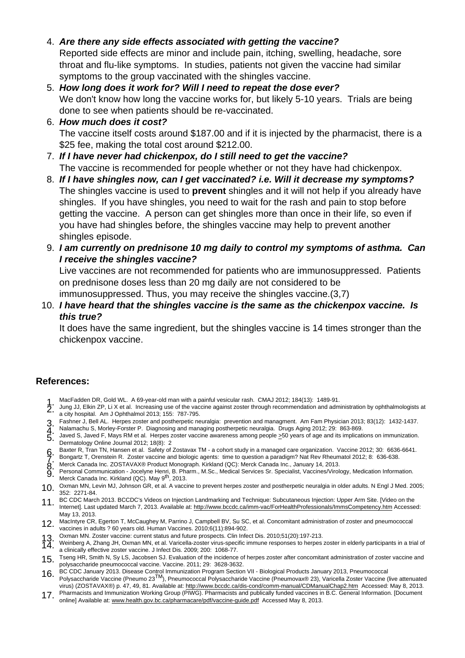- 4. Are there any side effects associated with getting the vaccine? Reported side effects are minor and include pain, itching, swelling, headache, sore throat and flu-like symptoms. In studies, patients not given the vaccine had similar symptoms to the group vaccinated with the shingles vaccine.
- 5. How long does it work for? Will I need to repeat the dose ever? We don't know how long the vaccine works for, but likely 5-10 years. Trials are being done to see when patients should be re-vaccinated.
- 6. How much does it cost? The vaccine itself costs around \$187.00 and if it is injected by the pharmacist, there is a \$25 fee, making the total cost around \$212.00.
- 7. If I have never had chickenpox, do I still need to get the vaccine? The vaccine is recommended for people whether or not they have had chickenpox.
- 8. If I have shingles now, can I get vaccinated? i.e. Will it decrease my symptoms? The shingles vaccine is used to prevent shingles and it will not help if you already have shingles. If you have shingles, you need to wait for the rash and pain to stop before getting the vaccine. A person can get shingles more than once in their life, so even if you have had shingles before, the shingles vaccine may help to prevent another shingles episode.
- 9. I am currently on prednisone 10 mg daily to control my symptoms of asthma. Can I receive the shingles vaccine? Live vaccines are not recommended for patients who are immunosuppressed. Patients

on prednisone doses less than 20 mg daily are not considered to be

immunosuppressed. Thus, you may receive the shingles vaccine.(3,7)

10. I have heard that the shingles vaccine is the same as the chickenpox vaccine. Is this true?

It does have the same ingredient, but the shingles vaccine is 14 times stronger than the chickenpox vaccine.

### References:

- 1. MacFadden DR, Gold WL. A 69-year-old man with a painful vesicular rash. CMAJ 2012; 184(13): 1489-91.<br>1. June LL Elkin ZP Li X et al. Increasing use of the vecsine against zester through recommendation and adm
- 2. Jung JJ, Elkin ZP, Li X et al. Increasing use of the vaccine against zoster through recommendation and administration by ophthalmologists at <br>2. a city bospital Am J Ophthalmol 2012: 155: 797 705 a city hospital. Am J Ophthalmol 2013; 155: 787-795.
- 3. Fashner J, Bell AL. Herpes zoster and postherpetic neuralgia: prevention and managment. Am Fam Physician 2013; 83(12): 1432-1437.<br>2. Nelemechu S. Morley Ferster B. Diagnosing and managing postherpetic neuralgie. Drugs A
- 4. Nalamachu S, Morley-Forster P. Diagnosing and managing postherpetic neuralgia. Drugs Aging 2012; 29: 863-869.<br>4. Joved S, Joved E, Move PM et al. Hernes zester vessing awareness among posple > 50 vesrs of age and its im
- 5. Javed S, Javed F, Mays RM et al. Herpes zoster vaccine awareness among people >50 years of age and its implications on immunization. Dermatology Online Journal 2012; 18(8): 2
- 6. Baxter R, Tran TN, Hansen et al. Safety of Zostavax TM a cohort study in a managed care organization. Vaccine 2012; 30: 6636-6641.<br>C. Bengertz T. Organizin B. Zector vaccine and biologie agents: time to question a par
- 7. Bongartz T, Orenstein R. Zoster vaccine and biologic agents: time to question a paradigm? Nat Rev Rheumatol 2012; 8: 636-638.
- 8. Merck Canada Inc. ZOSTAVAX® Product Monograph. Kirkland (QC): Merck Canada Inc., January 14, 2013.
- $\breve{9}$ . Personal Communication Jocelyne Henri, B. Pharm., M.Sc., Medical Services Sr. Specialist, Vaccines/Virology, Medication Information.<br>Marck Canada Ins. Kirkland (OC), May o<sup>th</sup>, 2012 Personal Communication - Jocelyne Henri, B. Pharm., M.Sc., Medical Services Sr. Specialist, Vaccines/Virology, Medication Information.<br>Merck Canada Inc. Kirkland (QC). May 9<sup>th</sup>, 2013.
- 10. Oxman MN, Levin MJ, Johnson GR, et al. A vaccine to prevent herpes zoster and postherpetic neuralgia in older adults. N Engl J Med. 2005; 352: 2271-84.
- 11. BC CDC March 2013. BCCDC's Videos on Injection Landmarking and Technique: Subcutaneous Injection: Upper Arm Site. [Video on the Internet]. Last updated March 7, 2013. Available at: http://www.bccdc.ca/imm-vac/ForHealthProfessionals/ImmsCompetency.htm Accessed: May 13, 2013.
- 12. MacIntyre CR, Egerton T, McCaughey M, Parrino J, Campbell BV, Su SC, et al. Concomitant administration of zoster and pneumococcal vaccines in adults ? 60 years old. Human Vaccines. 2010;6(11):894-902.
- 13. Oxman MN. Zoster vaccine: current status and future prospects. Clin Infect Dis. 2010;51(20):197-213.
- 14. Weinberg A, Zhang JH, Oxman MN, et al. Varicella-[zoster virus-specific immune responses to herpes zoster in elderly participant](http://www.bccdc.ca/imm-vac/ForHealthProfessionals/ImmsCompetency.htm)s in a trial of<br>
2000: 2001 1068 77 a clinically effective zoster vaccine. J Infect Dis. 2009; 200: 1068-77.
- 15. Tseng HR, Smith N, Sy LS, Jacobsen SJ. Evaluation of the incidence of herpes zoster after concomitant administration of zoster vaccine and polysaccharide pneumococcal vaccine. Vaccine. 2011; 29: 3628-3632.
- 16. BC CDC January 2013. Disease Control Immunization Program Section VII Biological Products January 2013, Pneumococcal<br>Polysaccharide Vaccine (Pneumo 23<sup>TM</sup>), Pneumococcal Polysaccharide Vaccine (Pneumovax® 23), Varice virus) (ZOSTAVAX®) p. 47, 49, 81. Available at: http://www.bccdc.ca/dis-cond/comm-manual/CDManualChap2.htm Accessed: May 8, 2013.
- 17. Pharmacists and Immunization Working Group (PIWG). Pharmacists and publically funded vaccines in B.C. General Information. [Document of 7. contine] Available at: www.health.gov.bc.ca/pharmacare/pdf/vaccine-guide.pdf Ac